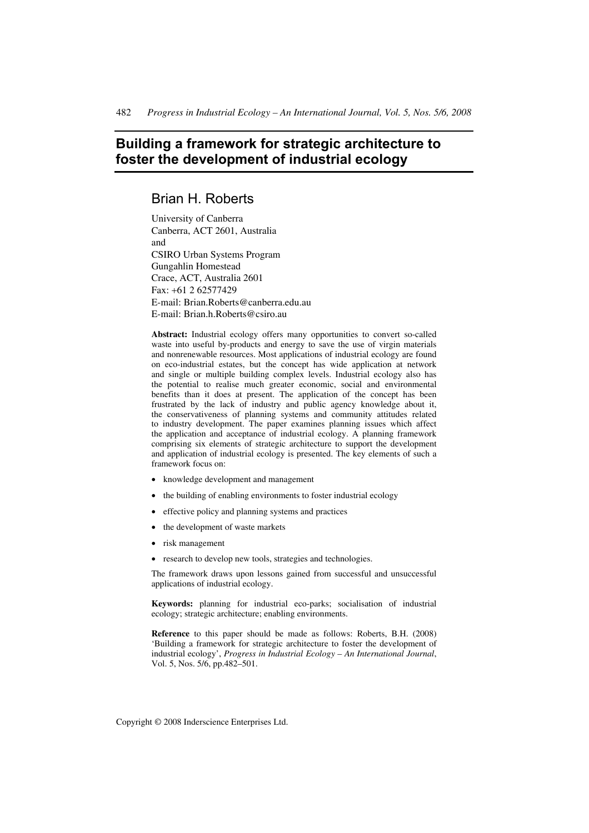# **Building a framework for strategic architecture to foster the development of industrial ecology**

## Brian H. Roberts

University of Canberra Canberra, ACT 2601, Australia and CSIRO Urban Systems Program Gungahlin Homestead Crace, ACT, Australia 2601 Fax: +61 2 62577429 E-mail: Brian.Roberts@canberra.edu.au E-mail: Brian.h.Roberts@csiro.au

Abstract: Industrial ecology offers many opportunities to convert so-called waste into useful by-products and energy to save the use of virgin materials and nonrenewable resources. Most applications of industrial ecology are found on eco-industrial estates, but the concept has wide application at network and single or multiple building complex levels. Industrial ecology also has the potential to realise much greater economic, social and environmental benefits than it does at present. The application of the concept has been frustrated by the lack of industry and public agency knowledge about it, the conservativeness of planning systems and community attitudes related to industry development. The paper examines planning issues which affect the application and acceptance of industrial ecology. A planning framework comprising six elements of strategic architecture to support the development and application of industrial ecology is presented. The key elements of such a framework focus on:

- knowledge development and management
- the building of enabling environments to foster industrial ecology
- effective policy and planning systems and practices
- the development of waste markets
- risk management
- research to develop new tools, strategies and technologies.

The framework draws upon lessons gained from successful and unsuccessful applications of industrial ecology.

**Keywords:** planning for industrial eco-parks; socialisation of industrial ecology; strategic architecture; enabling environments.

**Reference** to this paper should be made as follows: Roberts, B.H. (2008) 'Building a framework for strategic architecture to foster the development of industrial ecology', *Progress in Industrial Ecology – An International Journal*, Vol. 5, Nos. 5/6, pp.482–501.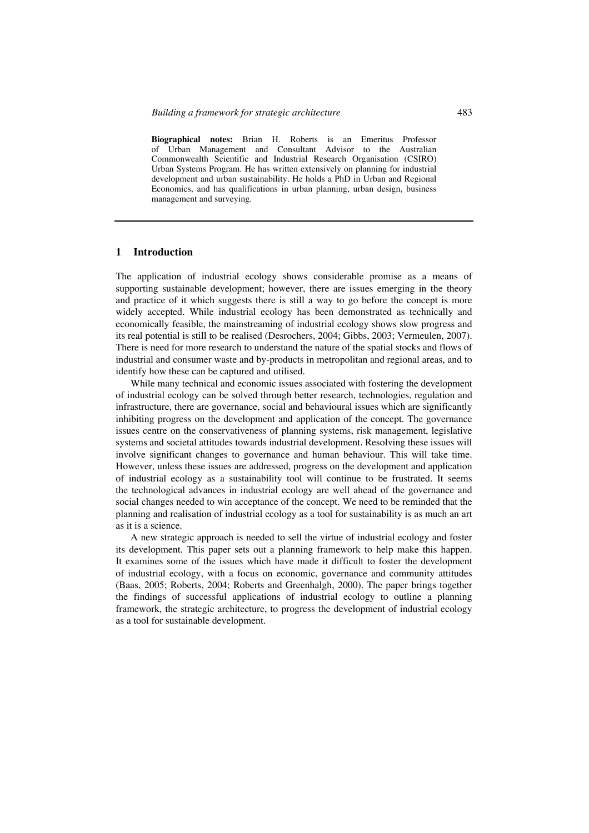**Biographical notes:** Brian H. Roberts is an Emeritus Professor of Urban Management and Consultant Advisor to the Australian Commonwealth Scientific and Industrial Research Organisation (CSIRO) Urban Systems Program. He has written extensively on planning for industrial development and urban sustainability. He holds a PhD in Urban and Regional Economics, and has qualifications in urban planning, urban design, business management and surveying.

#### **1 Introduction**

The application of industrial ecology shows considerable promise as a means of supporting sustainable development; however, there are issues emerging in the theory and practice of it which suggests there is still a way to go before the concept is more widely accepted. While industrial ecology has been demonstrated as technically and economically feasible, the mainstreaming of industrial ecology shows slow progress and its real potential is still to be realised (Desrochers, 2004; Gibbs, 2003; Vermeulen, 2007). There is need for more research to understand the nature of the spatial stocks and flows of industrial and consumer waste and by-products in metropolitan and regional areas, and to identify how these can be captured and utilised.

While many technical and economic issues associated with fostering the development of industrial ecology can be solved through better research, technologies, regulation and infrastructure, there are governance, social and behavioural issues which are significantly inhibiting progress on the development and application of the concept. The governance issues centre on the conservativeness of planning systems, risk management, legislative systems and societal attitudes towards industrial development. Resolving these issues will involve significant changes to governance and human behaviour. This will take time. However, unless these issues are addressed, progress on the development and application of industrial ecology as a sustainability tool will continue to be frustrated. It seems the technological advances in industrial ecology are well ahead of the governance and social changes needed to win acceptance of the concept. We need to be reminded that the planning and realisation of industrial ecology as a tool for sustainability is as much an art as it is a science.

A new strategic approach is needed to sell the virtue of industrial ecology and foster its development. This paper sets out a planning framework to help make this happen. It examines some of the issues which have made it difficult to foster the development of industrial ecology, with a focus on economic, governance and community attitudes (Baas, 2005; Roberts, 2004; Roberts and Greenhalgh, 2000). The paper brings together the findings of successful applications of industrial ecology to outline a planning framework, the strategic architecture, to progress the development of industrial ecology as a tool for sustainable development.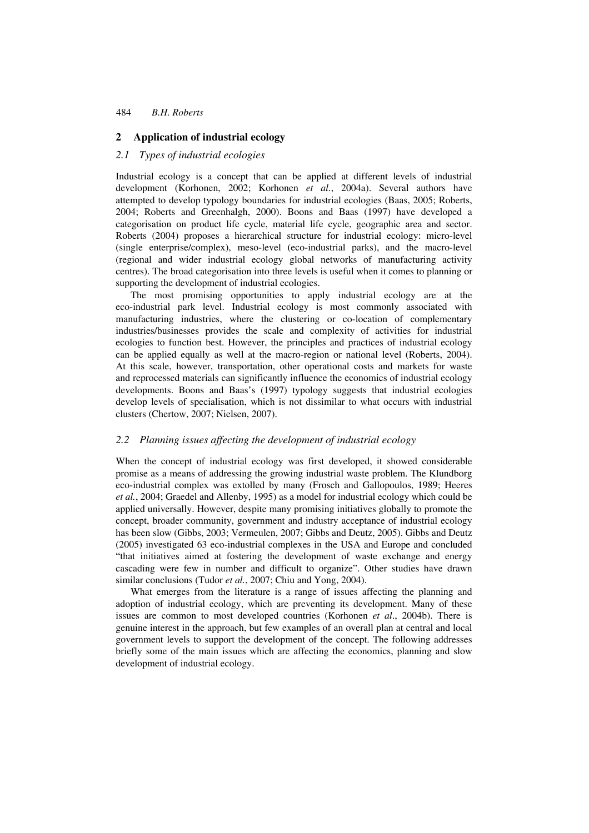### **2 Application of industrial ecology**

#### *2.1 Types of industrial ecologies*

Industrial ecology is a concept that can be applied at different levels of industrial development (Korhonen, 2002; Korhonen *et al.*, 2004a). Several authors have attempted to develop typology boundaries for industrial ecologies (Baas, 2005; Roberts, 2004; Roberts and Greenhalgh, 2000). Boons and Baas (1997) have developed a categorisation on product life cycle, material life cycle, geographic area and sector. Roberts (2004) proposes a hierarchical structure for industrial ecology: micro-level (single enterprise/complex), meso-level (eco-industrial parks), and the macro-level (regional and wider industrial ecology global networks of manufacturing activity centres). The broad categorisation into three levels is useful when it comes to planning or supporting the development of industrial ecologies.

The most promising opportunities to apply industrial ecology are at the eco-industrial park level. Industrial ecology is most commonly associated with manufacturing industries, where the clustering or co-location of complementary industries/businesses provides the scale and complexity of activities for industrial ecologies to function best. However, the principles and practices of industrial ecology can be applied equally as well at the macro-region or national level (Roberts, 2004). At this scale, however, transportation, other operational costs and markets for waste and reprocessed materials can significantly influence the economics of industrial ecology developments. Boons and Baas's (1997) typology suggests that industrial ecologies develop levels of specialisation, which is not dissimilar to what occurs with industrial clusters (Chertow, 2007; Nielsen, 2007).

### *2.2 Planning issues affecting the development of industrial ecology*

When the concept of industrial ecology was first developed, it showed considerable promise as a means of addressing the growing industrial waste problem. The Klundborg eco-industrial complex was extolled by many (Frosch and Gallopoulos, 1989; Heeres *et al.*, 2004; Graedel and Allenby, 1995) as a model for industrial ecology which could be applied universally. However, despite many promising initiatives globally to promote the concept, broader community, government and industry acceptance of industrial ecology has been slow (Gibbs, 2003; Vermeulen, 2007; Gibbs and Deutz, 2005). Gibbs and Deutz (2005) investigated 63 eco-industrial complexes in the USA and Europe and concluded "that initiatives aimed at fostering the development of waste exchange and energy cascading were few in number and difficult to organize". Other studies have drawn similar conclusions (Tudor *et al.*, 2007; Chiu and Yong, 2004).

What emerges from the literature is a range of issues affecting the planning and adoption of industrial ecology, which are preventing its development. Many of these issues are common to most developed countries (Korhonen *et al*., 2004b). There is genuine interest in the approach, but few examples of an overall plan at central and local government levels to support the development of the concept. The following addresses briefly some of the main issues which are affecting the economics, planning and slow development of industrial ecology.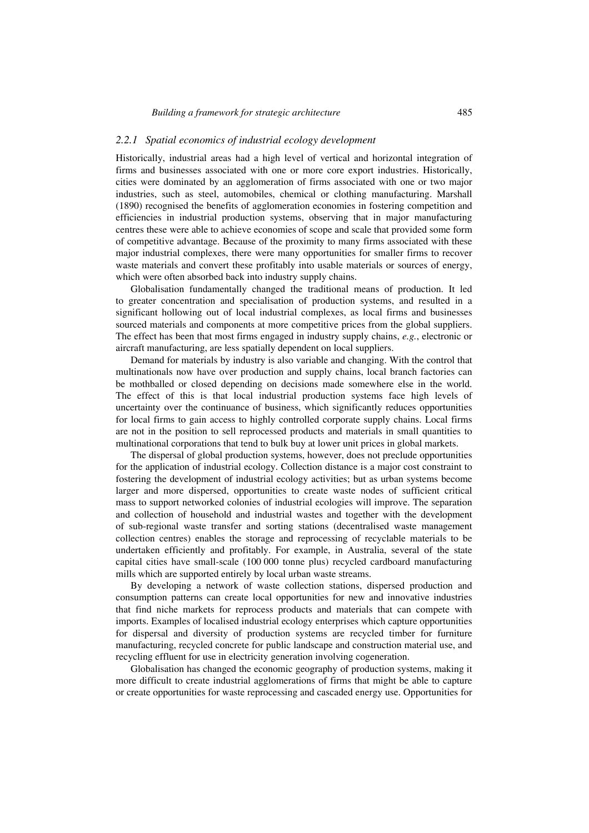### *2.2.1 Spatial economics of industrial ecology development*

Historically, industrial areas had a high level of vertical and horizontal integration of firms and businesses associated with one or more core export industries. Historically, cities were dominated by an agglomeration of firms associated with one or two major industries, such as steel, automobiles, chemical or clothing manufacturing. Marshall (1890) recognised the benefits of agglomeration economies in fostering competition and efficiencies in industrial production systems, observing that in major manufacturing centres these were able to achieve economies of scope and scale that provided some form of competitive advantage. Because of the proximity to many firms associated with these major industrial complexes, there were many opportunities for smaller firms to recover waste materials and convert these profitably into usable materials or sources of energy, which were often absorbed back into industry supply chains.

Globalisation fundamentally changed the traditional means of production. It led to greater concentration and specialisation of production systems, and resulted in a significant hollowing out of local industrial complexes, as local firms and businesses sourced materials and components at more competitive prices from the global suppliers. The effect has been that most firms engaged in industry supply chains, *e.g.*, electronic or aircraft manufacturing, are less spatially dependent on local suppliers.

Demand for materials by industry is also variable and changing. With the control that multinationals now have over production and supply chains, local branch factories can be mothballed or closed depending on decisions made somewhere else in the world. The effect of this is that local industrial production systems face high levels of uncertainty over the continuance of business, which significantly reduces opportunities for local firms to gain access to highly controlled corporate supply chains. Local firms are not in the position to sell reprocessed products and materials in small quantities to multinational corporations that tend to bulk buy at lower unit prices in global markets.

The dispersal of global production systems, however, does not preclude opportunities for the application of industrial ecology. Collection distance is a major cost constraint to fostering the development of industrial ecology activities; but as urban systems become larger and more dispersed, opportunities to create waste nodes of sufficient critical mass to support networked colonies of industrial ecologies will improve. The separation and collection of household and industrial wastes and together with the development of sub-regional waste transfer and sorting stations (decentralised waste management collection centres) enables the storage and reprocessing of recyclable materials to be undertaken efficiently and profitably. For example, in Australia, several of the state capital cities have small-scale (100 000 tonne plus) recycled cardboard manufacturing mills which are supported entirely by local urban waste streams.

By developing a network of waste collection stations, dispersed production and consumption patterns can create local opportunities for new and innovative industries that find niche markets for reprocess products and materials that can compete with imports. Examples of localised industrial ecology enterprises which capture opportunities for dispersal and diversity of production systems are recycled timber for furniture manufacturing, recycled concrete for public landscape and construction material use, and recycling effluent for use in electricity generation involving cogeneration.

Globalisation has changed the economic geography of production systems, making it more difficult to create industrial agglomerations of firms that might be able to capture or create opportunities for waste reprocessing and cascaded energy use. Opportunities for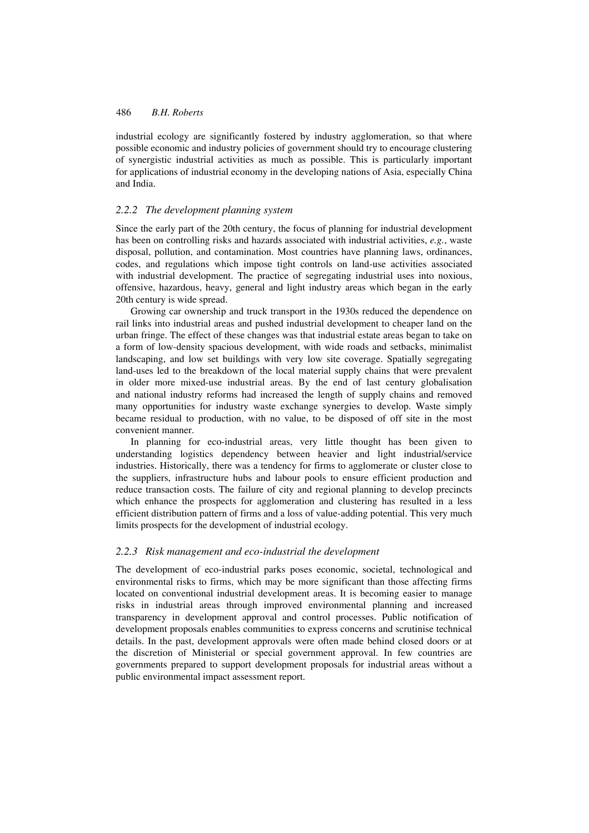industrial ecology are significantly fostered by industry agglomeration, so that where possible economic and industry policies of government should try to encourage clustering of synergistic industrial activities as much as possible. This is particularly important for applications of industrial economy in the developing nations of Asia, especially China and India.

### *2.2.2 The development planning system*

Since the early part of the 20th century, the focus of planning for industrial development has been on controlling risks and hazards associated with industrial activities, *e.g.*, waste disposal, pollution, and contamination. Most countries have planning laws, ordinances, codes, and regulations which impose tight controls on land-use activities associated with industrial development. The practice of segregating industrial uses into noxious, offensive, hazardous, heavy, general and light industry areas which began in the early 20th century is wide spread.

Growing car ownership and truck transport in the 1930s reduced the dependence on rail links into industrial areas and pushed industrial development to cheaper land on the urban fringe. The effect of these changes was that industrial estate areas began to take on a form of low-density spacious development, with wide roads and setbacks, minimalist landscaping, and low set buildings with very low site coverage. Spatially segregating land-uses led to the breakdown of the local material supply chains that were prevalent in older more mixed-use industrial areas. By the end of last century globalisation and national industry reforms had increased the length of supply chains and removed many opportunities for industry waste exchange synergies to develop. Waste simply became residual to production, with no value, to be disposed of off site in the most convenient manner.

In planning for eco-industrial areas, very little thought has been given to understanding logistics dependency between heavier and light industrial/service industries. Historically, there was a tendency for firms to agglomerate or cluster close to the suppliers, infrastructure hubs and labour pools to ensure efficient production and reduce transaction costs. The failure of city and regional planning to develop precincts which enhance the prospects for agglomeration and clustering has resulted in a less efficient distribution pattern of firms and a loss of value-adding potential. This very much limits prospects for the development of industrial ecology.

### *2.2.3 Risk management and eco-industrial the development*

The development of eco-industrial parks poses economic, societal, technological and environmental risks to firms, which may be more significant than those affecting firms located on conventional industrial development areas. It is becoming easier to manage risks in industrial areas through improved environmental planning and increased transparency in development approval and control processes. Public notification of development proposals enables communities to express concerns and scrutinise technical details. In the past, development approvals were often made behind closed doors or at the discretion of Ministerial or special government approval. In few countries are governments prepared to support development proposals for industrial areas without a public environmental impact assessment report.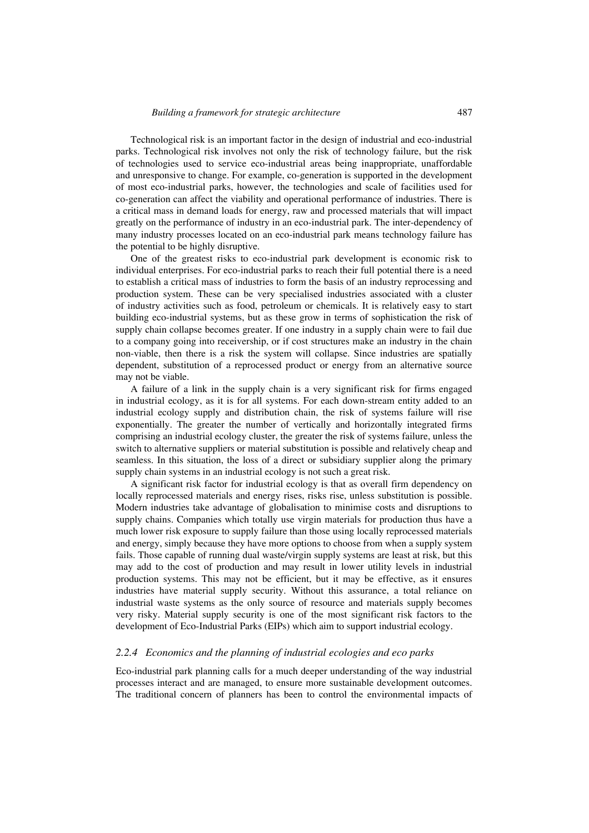Technological risk is an important factor in the design of industrial and eco-industrial parks. Technological risk involves not only the risk of technology failure, but the risk of technologies used to service eco-industrial areas being inappropriate, unaffordable and unresponsive to change. For example, co-generation is supported in the development of most eco-industrial parks, however, the technologies and scale of facilities used for co-generation can affect the viability and operational performance of industries. There is a critical mass in demand loads for energy, raw and processed materials that will impact greatly on the performance of industry in an eco-industrial park. The inter-dependency of many industry processes located on an eco-industrial park means technology failure has the potential to be highly disruptive.

One of the greatest risks to eco-industrial park development is economic risk to individual enterprises. For eco-industrial parks to reach their full potential there is a need to establish a critical mass of industries to form the basis of an industry reprocessing and production system. These can be very specialised industries associated with a cluster of industry activities such as food, petroleum or chemicals. It is relatively easy to start building eco-industrial systems, but as these grow in terms of sophistication the risk of supply chain collapse becomes greater. If one industry in a supply chain were to fail due to a company going into receivership, or if cost structures make an industry in the chain non-viable, then there is a risk the system will collapse. Since industries are spatially dependent, substitution of a reprocessed product or energy from an alternative source may not be viable.

A failure of a link in the supply chain is a very significant risk for firms engaged in industrial ecology, as it is for all systems. For each down-stream entity added to an industrial ecology supply and distribution chain, the risk of systems failure will rise exponentially. The greater the number of vertically and horizontally integrated firms comprising an industrial ecology cluster, the greater the risk of systems failure, unless the switch to alternative suppliers or material substitution is possible and relatively cheap and seamless. In this situation, the loss of a direct or subsidiary supplier along the primary supply chain systems in an industrial ecology is not such a great risk.

A significant risk factor for industrial ecology is that as overall firm dependency on locally reprocessed materials and energy rises, risks rise, unless substitution is possible. Modern industries take advantage of globalisation to minimise costs and disruptions to supply chains. Companies which totally use virgin materials for production thus have a much lower risk exposure to supply failure than those using locally reprocessed materials and energy, simply because they have more options to choose from when a supply system fails. Those capable of running dual waste/virgin supply systems are least at risk, but this may add to the cost of production and may result in lower utility levels in industrial production systems. This may not be efficient, but it may be effective, as it ensures industries have material supply security. Without this assurance, a total reliance on industrial waste systems as the only source of resource and materials supply becomes very risky. Material supply security is one of the most significant risk factors to the development of Eco-Industrial Parks (EIPs) which aim to support industrial ecology.

#### *2.2.4 Economics and the planning of industrial ecologies and eco parks*

Eco-industrial park planning calls for a much deeper understanding of the way industrial processes interact and are managed, to ensure more sustainable development outcomes. The traditional concern of planners has been to control the environmental impacts of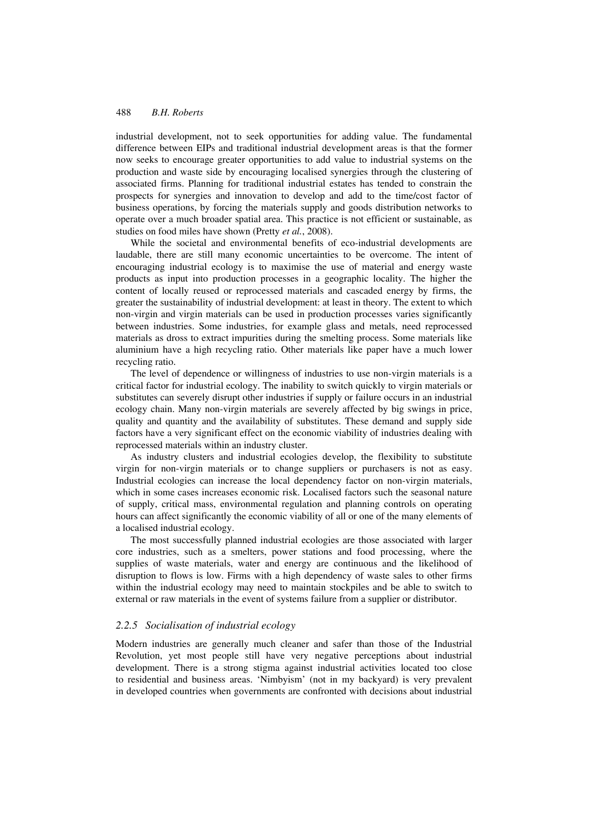industrial development, not to seek opportunities for adding value. The fundamental difference between EIPs and traditional industrial development areas is that the former now seeks to encourage greater opportunities to add value to industrial systems on the production and waste side by encouraging localised synergies through the clustering of associated firms. Planning for traditional industrial estates has tended to constrain the prospects for synergies and innovation to develop and add to the time/cost factor of business operations, by forcing the materials supply and goods distribution networks to operate over a much broader spatial area. This practice is not efficient or sustainable, as studies on food miles have shown (Pretty *et al.*, 2008).

While the societal and environmental benefits of eco-industrial developments are laudable, there are still many economic uncertainties to be overcome. The intent of encouraging industrial ecology is to maximise the use of material and energy waste products as input into production processes in a geographic locality. The higher the content of locally reused or reprocessed materials and cascaded energy by firms, the greater the sustainability of industrial development: at least in theory. The extent to which non-virgin and virgin materials can be used in production processes varies significantly between industries. Some industries, for example glass and metals, need reprocessed materials as dross to extract impurities during the smelting process. Some materials like aluminium have a high recycling ratio. Other materials like paper have a much lower recycling ratio.

The level of dependence or willingness of industries to use non-virgin materials is a critical factor for industrial ecology. The inability to switch quickly to virgin materials or substitutes can severely disrupt other industries if supply or failure occurs in an industrial ecology chain. Many non-virgin materials are severely affected by big swings in price, quality and quantity and the availability of substitutes. These demand and supply side factors have a very significant effect on the economic viability of industries dealing with reprocessed materials within an industry cluster.

As industry clusters and industrial ecologies develop, the flexibility to substitute virgin for non-virgin materials or to change suppliers or purchasers is not as easy. Industrial ecologies can increase the local dependency factor on non-virgin materials, which in some cases increases economic risk. Localised factors such the seasonal nature of supply, critical mass, environmental regulation and planning controls on operating hours can affect significantly the economic viability of all or one of the many elements of a localised industrial ecology.

The most successfully planned industrial ecologies are those associated with larger core industries, such as a smelters, power stations and food processing, where the supplies of waste materials, water and energy are continuous and the likelihood of disruption to flows is low. Firms with a high dependency of waste sales to other firms within the industrial ecology may need to maintain stockpiles and be able to switch to external or raw materials in the event of systems failure from a supplier or distributor.

#### *2.2.5 Socialisation of industrial ecology*

Modern industries are generally much cleaner and safer than those of the Industrial Revolution, yet most people still have very negative perceptions about industrial development. There is a strong stigma against industrial activities located too close to residential and business areas. 'Nimbyism' (not in my backyard) is very prevalent in developed countries when governments are confronted with decisions about industrial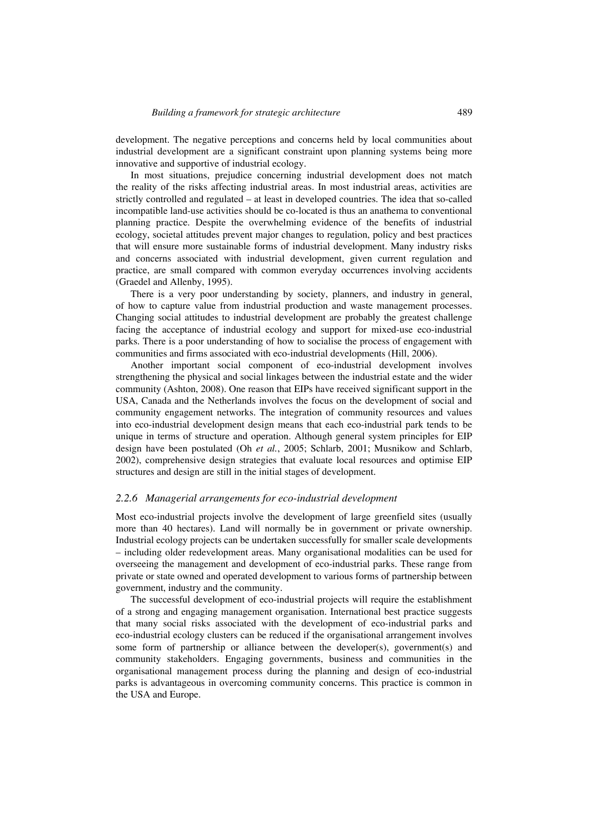development. The negative perceptions and concerns held by local communities about industrial development are a significant constraint upon planning systems being more innovative and supportive of industrial ecology.

In most situations, prejudice concerning industrial development does not match the reality of the risks affecting industrial areas. In most industrial areas, activities are strictly controlled and regulated – at least in developed countries. The idea that so-called incompatible land-use activities should be co-located is thus an anathema to conventional planning practice. Despite the overwhelming evidence of the benefits of industrial ecology, societal attitudes prevent major changes to regulation, policy and best practices that will ensure more sustainable forms of industrial development. Many industry risks and concerns associated with industrial development, given current regulation and practice, are small compared with common everyday occurrences involving accidents (Graedel and Allenby, 1995).

There is a very poor understanding by society, planners, and industry in general, of how to capture value from industrial production and waste management processes. Changing social attitudes to industrial development are probably the greatest challenge facing the acceptance of industrial ecology and support for mixed-use eco-industrial parks. There is a poor understanding of how to socialise the process of engagement with communities and firms associated with eco-industrial developments (Hill, 2006).

Another important social component of eco-industrial development involves strengthening the physical and social linkages between the industrial estate and the wider community (Ashton, 2008). One reason that EIPs have received significant support in the USA, Canada and the Netherlands involves the focus on the development of social and community engagement networks. The integration of community resources and values into eco-industrial development design means that each eco-industrial park tends to be unique in terms of structure and operation. Although general system principles for EIP design have been postulated (Oh *et al.*, 2005; Schlarb, 2001; Musnikow and Schlarb, 2002), comprehensive design strategies that evaluate local resources and optimise EIP structures and design are still in the initial stages of development.

#### *2.2.6 Managerial arrangements for eco-industrial development*

Most eco-industrial projects involve the development of large greenfield sites (usually more than 40 hectares). Land will normally be in government or private ownership. Industrial ecology projects can be undertaken successfully for smaller scale developments – including older redevelopment areas. Many organisational modalities can be used for overseeing the management and development of eco-industrial parks. These range from private or state owned and operated development to various forms of partnership between government, industry and the community.

The successful development of eco-industrial projects will require the establishment of a strong and engaging management organisation. International best practice suggests that many social risks associated with the development of eco-industrial parks and eco-industrial ecology clusters can be reduced if the organisational arrangement involves some form of partnership or alliance between the developer(s), government(s) and community stakeholders. Engaging governments, business and communities in the organisational management process during the planning and design of eco-industrial parks is advantageous in overcoming community concerns. This practice is common in the USA and Europe.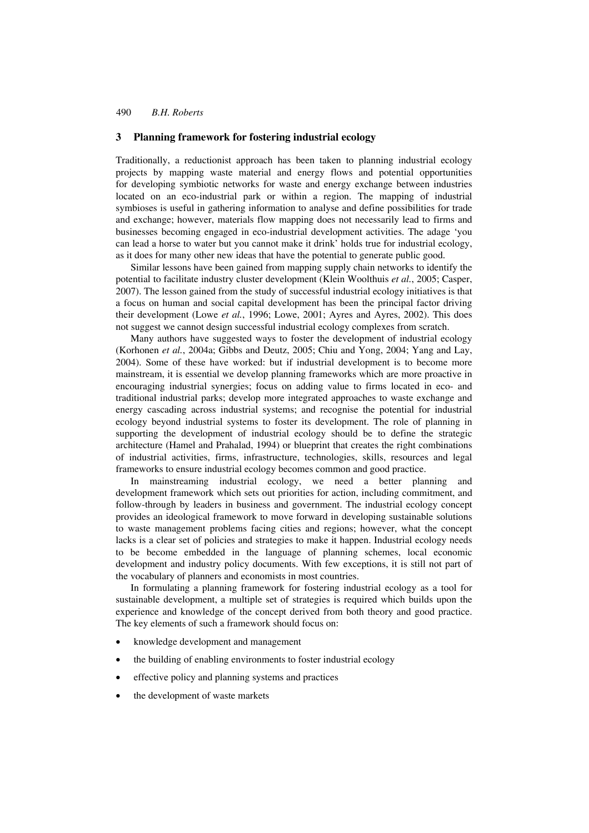### **3 Planning framework for fostering industrial ecology**

Traditionally, a reductionist approach has been taken to planning industrial ecology projects by mapping waste material and energy flows and potential opportunities for developing symbiotic networks for waste and energy exchange between industries located on an eco-industrial park or within a region. The mapping of industrial symbioses is useful in gathering information to analyse and define possibilities for trade and exchange; however, materials flow mapping does not necessarily lead to firms and businesses becoming engaged in eco-industrial development activities. The adage 'you can lead a horse to water but you cannot make it drink' holds true for industrial ecology, as it does for many other new ideas that have the potential to generate public good.

Similar lessons have been gained from mapping supply chain networks to identify the potential to facilitate industry cluster development (Klein Woolthuis *et al.*, 2005; Casper, 2007). The lesson gained from the study of successful industrial ecology initiatives is that a focus on human and social capital development has been the principal factor driving their development (Lowe *et al.*, 1996; Lowe, 2001; Ayres and Ayres, 2002). This does not suggest we cannot design successful industrial ecology complexes from scratch.

Many authors have suggested ways to foster the development of industrial ecology (Korhonen *et al.*, 2004a; Gibbs and Deutz, 2005; Chiu and Yong, 2004; Yang and Lay, 2004). Some of these have worked: but if industrial development is to become more mainstream, it is essential we develop planning frameworks which are more proactive in encouraging industrial synergies; focus on adding value to firms located in eco- and traditional industrial parks; develop more integrated approaches to waste exchange and energy cascading across industrial systems; and recognise the potential for industrial ecology beyond industrial systems to foster its development. The role of planning in supporting the development of industrial ecology should be to define the strategic architecture (Hamel and Prahalad, 1994) or blueprint that creates the right combinations of industrial activities, firms, infrastructure, technologies, skills, resources and legal frameworks to ensure industrial ecology becomes common and good practice.

In mainstreaming industrial ecology, we need a better planning and development framework which sets out priorities for action, including commitment, and follow-through by leaders in business and government. The industrial ecology concept provides an ideological framework to move forward in developing sustainable solutions to waste management problems facing cities and regions; however, what the concept lacks is a clear set of policies and strategies to make it happen. Industrial ecology needs to be become embedded in the language of planning schemes, local economic development and industry policy documents. With few exceptions, it is still not part of the vocabulary of planners and economists in most countries.

In formulating a planning framework for fostering industrial ecology as a tool for sustainable development, a multiple set of strategies is required which builds upon the experience and knowledge of the concept derived from both theory and good practice. The key elements of such a framework should focus on:

- knowledge development and management
- the building of enabling environments to foster industrial ecology
- effective policy and planning systems and practices
- the development of waste markets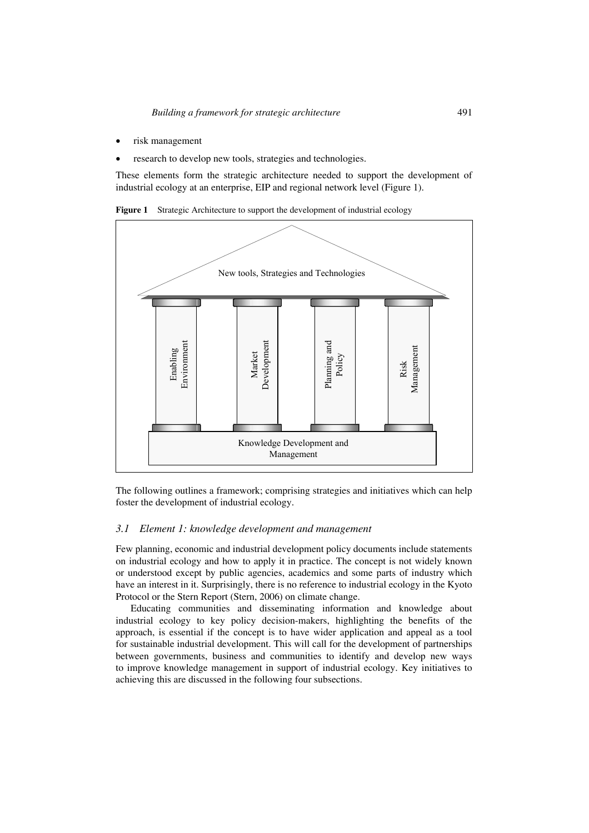- risk management
- research to develop new tools, strategies and technologies.

These elements form the strategic architecture needed to support the development of industrial ecology at an enterprise, EIP and regional network level (Figure 1).





The following outlines a framework; comprising strategies and initiatives which can help foster the development of industrial ecology.

### *3.1 Element 1: knowledge development and management*

Few planning, economic and industrial development policy documents include statements on industrial ecology and how to apply it in practice. The concept is not widely known or understood except by public agencies, academics and some parts of industry which have an interest in it. Surprisingly, there is no reference to industrial ecology in the Kyoto Protocol or the Stern Report (Stern, 2006) on climate change.

Educating communities and disseminating information and knowledge about industrial ecology to key policy decision-makers, highlighting the benefits of the approach, is essential if the concept is to have wider application and appeal as a tool for sustainable industrial development. This will call for the development of partnerships between governments, business and communities to identify and develop new ways to improve knowledge management in support of industrial ecology. Key initiatives to achieving this are discussed in the following four subsections.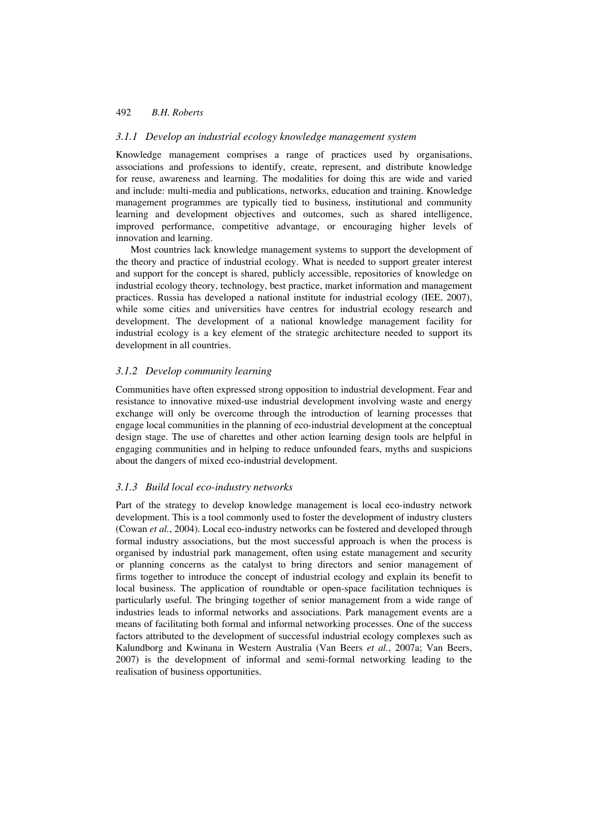### *3.1.1 Develop an industrial ecology knowledge management system*

Knowledge management comprises a range of practices used by organisations, associations and professions to identify, create, represent, and distribute knowledge for reuse, awareness and learning. The modalities for doing this are wide and varied and include: multi-media and publications, networks, education and training. Knowledge management programmes are typically tied to business, institutional and community learning and development objectives and outcomes, such as shared intelligence, improved performance, competitive advantage, or encouraging higher levels of innovation and learning.

Most countries lack knowledge management systems to support the development of the theory and practice of industrial ecology. What is needed to support greater interest and support for the concept is shared, publicly accessible, repositories of knowledge on industrial ecology theory, technology, best practice, market information and management practices. Russia has developed a national institute for industrial ecology (IEE, 2007), while some cities and universities have centres for industrial ecology research and development. The development of a national knowledge management facility for industrial ecology is a key element of the strategic architecture needed to support its development in all countries.

#### *3.1.2 Develop community learning*

Communities have often expressed strong opposition to industrial development. Fear and resistance to innovative mixed-use industrial development involving waste and energy exchange will only be overcome through the introduction of learning processes that engage local communities in the planning of eco-industrial development at the conceptual design stage. The use of charettes and other action learning design tools are helpful in engaging communities and in helping to reduce unfounded fears, myths and suspicions about the dangers of mixed eco-industrial development.

#### *3.1.3 Build local eco-industry networks*

Part of the strategy to develop knowledge management is local eco-industry network development. This is a tool commonly used to foster the development of industry clusters (Cowan *et al.*, 2004). Local eco-industry networks can be fostered and developed through formal industry associations, but the most successful approach is when the process is organised by industrial park management, often using estate management and security or planning concerns as the catalyst to bring directors and senior management of firms together to introduce the concept of industrial ecology and explain its benefit to local business. The application of roundtable or open-space facilitation techniques is particularly useful. The bringing together of senior management from a wide range of industries leads to informal networks and associations. Park management events are a means of facilitating both formal and informal networking processes. One of the success factors attributed to the development of successful industrial ecology complexes such as Kalundborg and Kwinana in Western Australia (Van Beers *et al.*, 2007a; Van Beers, 2007) is the development of informal and semi-formal networking leading to the realisation of business opportunities.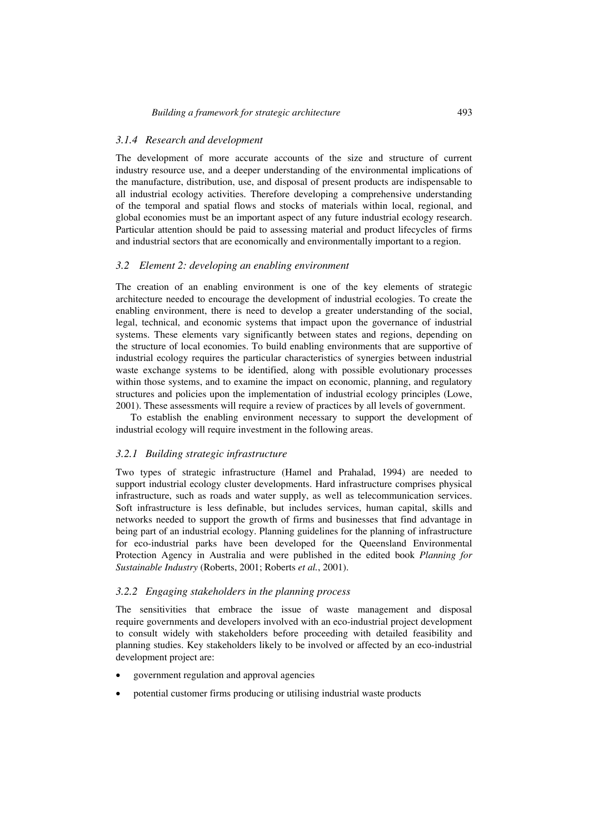### *3.1.4 Research and development*

The development of more accurate accounts of the size and structure of current industry resource use, and a deeper understanding of the environmental implications of the manufacture, distribution, use, and disposal of present products are indispensable to all industrial ecology activities. Therefore developing a comprehensive understanding of the temporal and spatial flows and stocks of materials within local, regional, and global economies must be an important aspect of any future industrial ecology research. Particular attention should be paid to assessing material and product lifecycles of firms and industrial sectors that are economically and environmentally important to a region.

#### *3.2 Element 2: developing an enabling environment*

The creation of an enabling environment is one of the key elements of strategic architecture needed to encourage the development of industrial ecologies. To create the enabling environment, there is need to develop a greater understanding of the social, legal, technical, and economic systems that impact upon the governance of industrial systems. These elements vary significantly between states and regions, depending on the structure of local economies. To build enabling environments that are supportive of industrial ecology requires the particular characteristics of synergies between industrial waste exchange systems to be identified, along with possible evolutionary processes within those systems, and to examine the impact on economic, planning, and regulatory structures and policies upon the implementation of industrial ecology principles (Lowe, 2001). These assessments will require a review of practices by all levels of government.

To establish the enabling environment necessary to support the development of industrial ecology will require investment in the following areas.

#### *3.2.1 Building strategic infrastructure*

Two types of strategic infrastructure (Hamel and Prahalad, 1994) are needed to support industrial ecology cluster developments. Hard infrastructure comprises physical infrastructure, such as roads and water supply, as well as telecommunication services. Soft infrastructure is less definable, but includes services, human capital, skills and networks needed to support the growth of firms and businesses that find advantage in being part of an industrial ecology. Planning guidelines for the planning of infrastructure for eco-industrial parks have been developed for the Queensland Environmental Protection Agency in Australia and were published in the edited book *Planning for Sustainable Industry* (Roberts, 2001; Roberts *et al.*, 2001).

### *3.2.2 Engaging stakeholders in the planning process*

The sensitivities that embrace the issue of waste management and disposal require governments and developers involved with an eco-industrial project development to consult widely with stakeholders before proceeding with detailed feasibility and planning studies. Key stakeholders likely to be involved or affected by an eco-industrial development project are:

- government regulation and approval agencies
- potential customer firms producing or utilising industrial waste products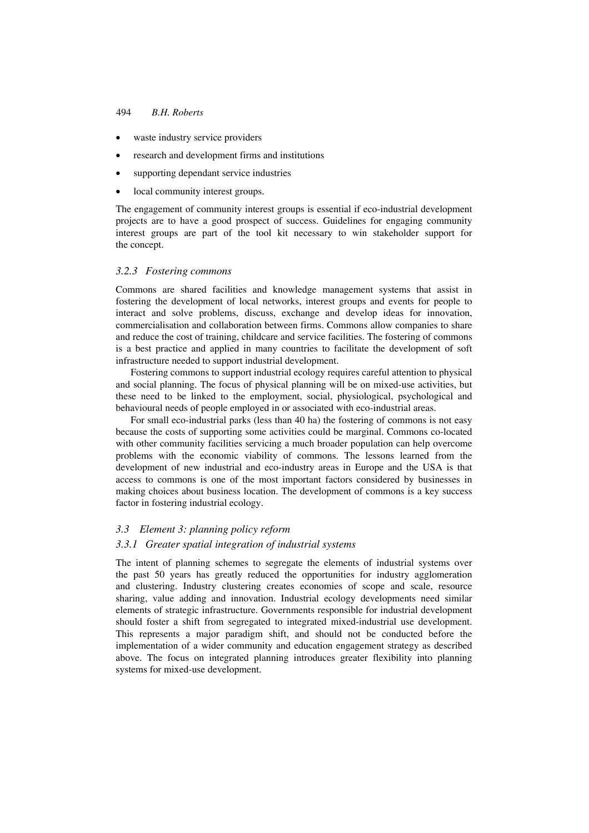- waste industry service providers
- research and development firms and institutions
- supporting dependant service industries
- local community interest groups.

The engagement of community interest groups is essential if eco-industrial development projects are to have a good prospect of success. Guidelines for engaging community interest groups are part of the tool kit necessary to win stakeholder support for the concept.

#### *3.2.3 Fostering commons*

Commons are shared facilities and knowledge management systems that assist in fostering the development of local networks, interest groups and events for people to interact and solve problems, discuss, exchange and develop ideas for innovation, commercialisation and collaboration between firms. Commons allow companies to share and reduce the cost of training, childcare and service facilities. The fostering of commons is a best practice and applied in many countries to facilitate the development of soft infrastructure needed to support industrial development.

Fostering commons to support industrial ecology requires careful attention to physical and social planning. The focus of physical planning will be on mixed-use activities, but these need to be linked to the employment, social, physiological, psychological and behavioural needs of people employed in or associated with eco-industrial areas.

For small eco-industrial parks (less than 40 ha) the fostering of commons is not easy because the costs of supporting some activities could be marginal. Commons co-located with other community facilities servicing a much broader population can help overcome problems with the economic viability of commons. The lessons learned from the development of new industrial and eco-industry areas in Europe and the USA is that access to commons is one of the most important factors considered by businesses in making choices about business location. The development of commons is a key success factor in fostering industrial ecology.

### *3.3 Element 3: planning policy reform*

### *3.3.1 Greater spatial integration of industrial systems*

The intent of planning schemes to segregate the elements of industrial systems over the past 50 years has greatly reduced the opportunities for industry agglomeration and clustering. Industry clustering creates economies of scope and scale, resource sharing, value adding and innovation. Industrial ecology developments need similar elements of strategic infrastructure. Governments responsible for industrial development should foster a shift from segregated to integrated mixed-industrial use development. This represents a major paradigm shift, and should not be conducted before the implementation of a wider community and education engagement strategy as described above. The focus on integrated planning introduces greater flexibility into planning systems for mixed-use development.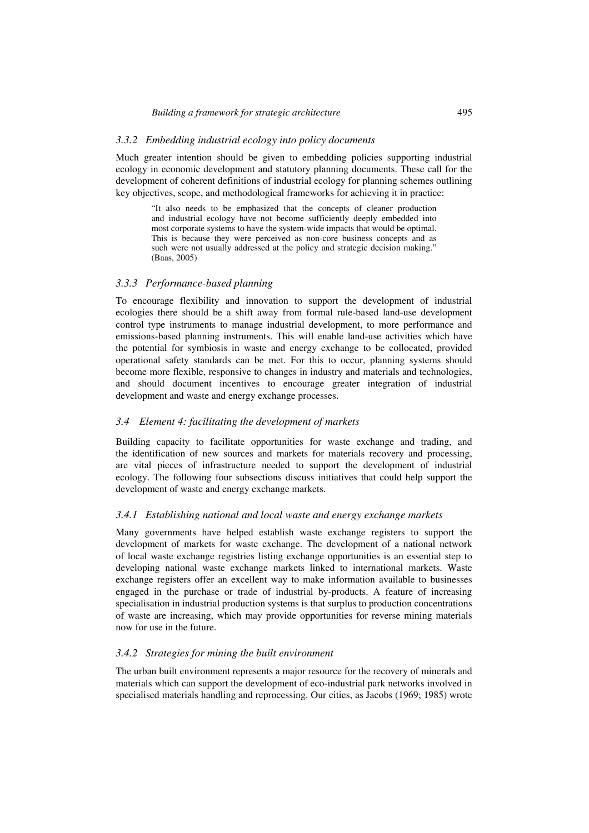#### *3.3.2 Embedding industrial ecology into policy documents*

Much greater intention should be given to embedding policies supporting industrial ecology in economic development and statutory planning documents. These call for the development of coherent definitions of industrial ecology for planning schemes outlining key objectives, scope, and methodological frameworks for achieving it in practice:

> "It also needs to be emphasized that the concepts of cleaner production and industrial ecology have not become sufficiently deeply embedded into most corporate systems to have the system-wide impacts that would be optimal. This is because they were perceived as non-core business concepts and as such were not usually addressed at the policy and strategic decision making." (Baas, 2005)

#### *3.3.3 Performance-based planning*

To encourage flexibility and innovation to support the development of industrial ecologies there should be a shift away from formal rule-based land-use development control type instruments to manage industrial development, to more performance and emissions-based planning instruments. This will enable land-use activities which have the potential for symbiosis in waste and energy exchange to be collocated, provided operational safety standards can be met. For this to occur, planning systems should become more flexible, responsive to changes in industry and materials and technologies, and should document incentives to encourage greater integration of industrial development and waste and energy exchange processes.

#### *3.4 Element 4: facilitating the development of markets*

Building capacity to facilitate opportunities for waste exchange and trading, and the identification of new sources and markets for materials recovery and processing, are vital pieces of infrastructure needed to support the development of industrial ecology. The following four subsections discuss initiatives that could help support the development of waste and energy exchange markets.

### *3.4.1 Establishing national and local waste and energy exchange markets*

Many governments have helped establish waste exchange registers to support the development of markets for waste exchange. The development of a national network of local waste exchange registries listing exchange opportunities is an essential step to developing national waste exchange markets linked to international markets. Waste exchange registers offer an excellent way to make information available to businesses engaged in the purchase or trade of industrial by-products. A feature of increasing specialisation in industrial production systems is that surplus to production concentrations of waste are increasing, which may provide opportunities for reverse mining materials now for use in the future.

#### *3.4.2 Strategies for mining the built environment*

The urban built environment represents a major resource for the recovery of minerals and materials which can support the development of eco-industrial park networks involved in specialised materials handling and reprocessing. Our cities, as Jacobs (1969; 1985) wrote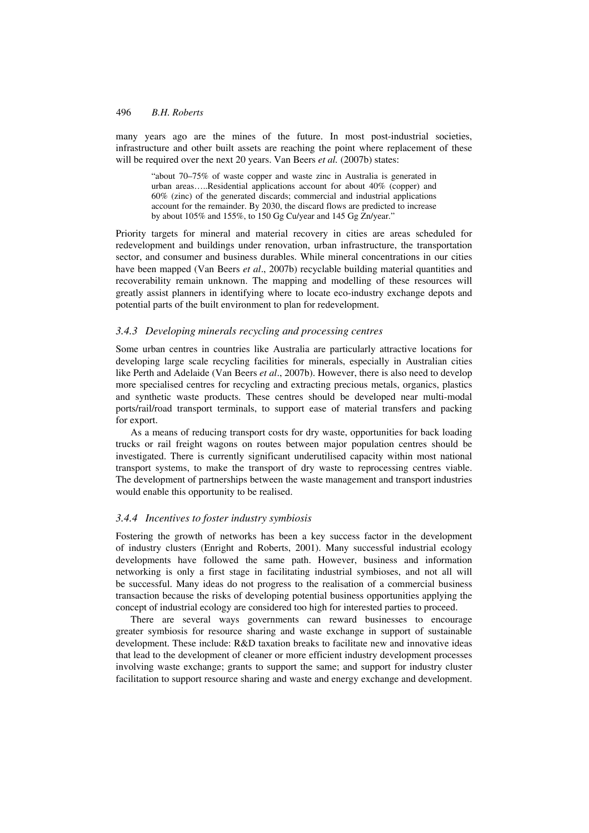many years ago are the mines of the future. In most post-industrial societies, infrastructure and other built assets are reaching the point where replacement of these will be required over the next 20 years. Van Beers *et al.* (2007b) states:

"about 70–75% of waste copper and waste zinc in Australia is generated in urban areas…..Residential applications account for about 40% (copper) and 60% (zinc) of the generated discards; commercial and industrial applications account for the remainder. By 2030, the discard flows are predicted to increase by about 105% and 155%, to 150 Gg Cu/year and 145 Gg Zn/year.'

Priority targets for mineral and material recovery in cities are areas scheduled for redevelopment and buildings under renovation, urban infrastructure, the transportation sector, and consumer and business durables. While mineral concentrations in our cities have been mapped (Van Beers *et al*., 2007b) recyclable building material quantities and recoverability remain unknown. The mapping and modelling of these resources will greatly assist planners in identifying where to locate eco-industry exchange depots and potential parts of the built environment to plan for redevelopment.

### *3.4.3 Developing minerals recycling and processing centres*

Some urban centres in countries like Australia are particularly attractive locations for developing large scale recycling facilities for minerals, especially in Australian cities like Perth and Adelaide (Van Beers *et al*., 2007b). However, there is also need to develop more specialised centres for recycling and extracting precious metals, organics, plastics and synthetic waste products. These centres should be developed near multi-modal ports/rail/road transport terminals, to support ease of material transfers and packing for export.

As a means of reducing transport costs for dry waste, opportunities for back loading trucks or rail freight wagons on routes between major population centres should be investigated. There is currently significant underutilised capacity within most national transport systems, to make the transport of dry waste to reprocessing centres viable. The development of partnerships between the waste management and transport industries would enable this opportunity to be realised.

### *3.4.4 Incentives to foster industry symbiosis*

Fostering the growth of networks has been a key success factor in the development of industry clusters (Enright and Roberts, 2001). Many successful industrial ecology developments have followed the same path. However, business and information networking is only a first stage in facilitating industrial symbioses, and not all will be successful. Many ideas do not progress to the realisation of a commercial business transaction because the risks of developing potential business opportunities applying the concept of industrial ecology are considered too high for interested parties to proceed.

There are several ways governments can reward businesses to encourage greater symbiosis for resource sharing and waste exchange in support of sustainable development. These include: R&D taxation breaks to facilitate new and innovative ideas that lead to the development of cleaner or more efficient industry development processes involving waste exchange; grants to support the same; and support for industry cluster facilitation to support resource sharing and waste and energy exchange and development.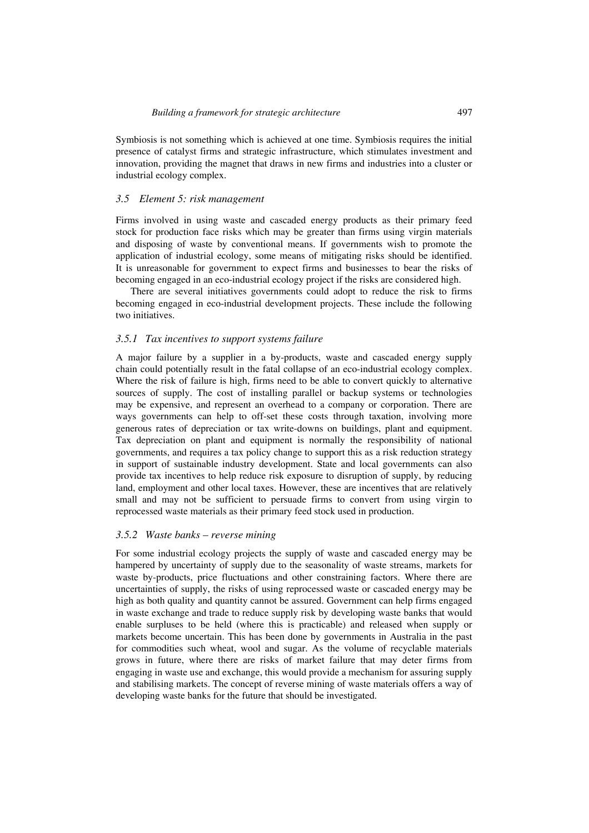Symbiosis is not something which is achieved at one time. Symbiosis requires the initial presence of catalyst firms and strategic infrastructure, which stimulates investment and innovation, providing the magnet that draws in new firms and industries into a cluster or industrial ecology complex.

### *3.5 Element 5: risk management*

Firms involved in using waste and cascaded energy products as their primary feed stock for production face risks which may be greater than firms using virgin materials and disposing of waste by conventional means. If governments wish to promote the application of industrial ecology, some means of mitigating risks should be identified. It is unreasonable for government to expect firms and businesses to bear the risks of becoming engaged in an eco-industrial ecology project if the risks are considered high.

There are several initiatives governments could adopt to reduce the risk to firms becoming engaged in eco-industrial development projects. These include the following two initiatives.

#### *3.5.1 Tax incentives to support systems failure*

A major failure by a supplier in a by-products, waste and cascaded energy supply chain could potentially result in the fatal collapse of an eco-industrial ecology complex. Where the risk of failure is high, firms need to be able to convert quickly to alternative sources of supply. The cost of installing parallel or backup systems or technologies may be expensive, and represent an overhead to a company or corporation. There are ways governments can help to off-set these costs through taxation, involving more generous rates of depreciation or tax write-downs on buildings, plant and equipment. Tax depreciation on plant and equipment is normally the responsibility of national governments, and requires a tax policy change to support this as a risk reduction strategy in support of sustainable industry development. State and local governments can also provide tax incentives to help reduce risk exposure to disruption of supply, by reducing land, employment and other local taxes. However, these are incentives that are relatively small and may not be sufficient to persuade firms to convert from using virgin to reprocessed waste materials as their primary feed stock used in production.

#### *3.5.2 Waste banks – reverse mining*

For some industrial ecology projects the supply of waste and cascaded energy may be hampered by uncertainty of supply due to the seasonality of waste streams, markets for waste by-products, price fluctuations and other constraining factors. Where there are uncertainties of supply, the risks of using reprocessed waste or cascaded energy may be high as both quality and quantity cannot be assured. Government can help firms engaged in waste exchange and trade to reduce supply risk by developing waste banks that would enable surpluses to be held (where this is practicable) and released when supply or markets become uncertain. This has been done by governments in Australia in the past for commodities such wheat, wool and sugar. As the volume of recyclable materials grows in future, where there are risks of market failure that may deter firms from engaging in waste use and exchange, this would provide a mechanism for assuring supply and stabilising markets. The concept of reverse mining of waste materials offers a way of developing waste banks for the future that should be investigated.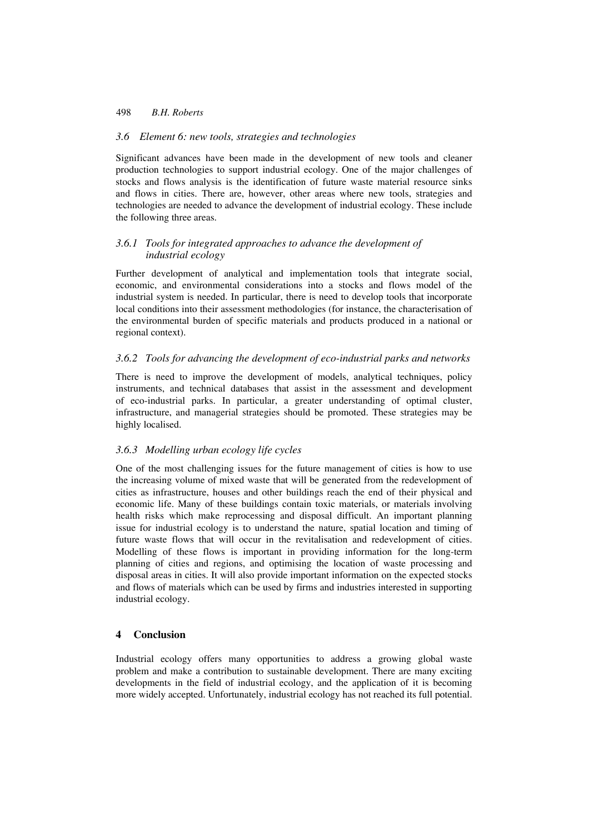### *3.6 Element 6: new tools, strategies and technologies*

Significant advances have been made in the development of new tools and cleaner production technologies to support industrial ecology. One of the major challenges of stocks and flows analysis is the identification of future waste material resource sinks and flows in cities. There are, however, other areas where new tools, strategies and technologies are needed to advance the development of industrial ecology. These include the following three areas.

### *3.6.1 Tools for integrated approaches to advance the development of industrial ecology*

Further development of analytical and implementation tools that integrate social, economic, and environmental considerations into a stocks and flows model of the industrial system is needed. In particular, there is need to develop tools that incorporate local conditions into their assessment methodologies (for instance, the characterisation of the environmental burden of specific materials and products produced in a national or regional context).

### *3.6.2 Tools for advancing the development of eco-industrial parks and networks*

There is need to improve the development of models, analytical techniques, policy instruments, and technical databases that assist in the assessment and development of eco-industrial parks. In particular, a greater understanding of optimal cluster, infrastructure, and managerial strategies should be promoted. These strategies may be highly localised.

### *3.6.3 Modelling urban ecology life cycles*

One of the most challenging issues for the future management of cities is how to use the increasing volume of mixed waste that will be generated from the redevelopment of cities as infrastructure, houses and other buildings reach the end of their physical and economic life. Many of these buildings contain toxic materials, or materials involving health risks which make reprocessing and disposal difficult. An important planning issue for industrial ecology is to understand the nature, spatial location and timing of future waste flows that will occur in the revitalisation and redevelopment of cities. Modelling of these flows is important in providing information for the long-term planning of cities and regions, and optimising the location of waste processing and disposal areas in cities. It will also provide important information on the expected stocks and flows of materials which can be used by firms and industries interested in supporting industrial ecology.

### **4 Conclusion**

Industrial ecology offers many opportunities to address a growing global waste problem and make a contribution to sustainable development. There are many exciting developments in the field of industrial ecology, and the application of it is becoming more widely accepted. Unfortunately, industrial ecology has not reached its full potential.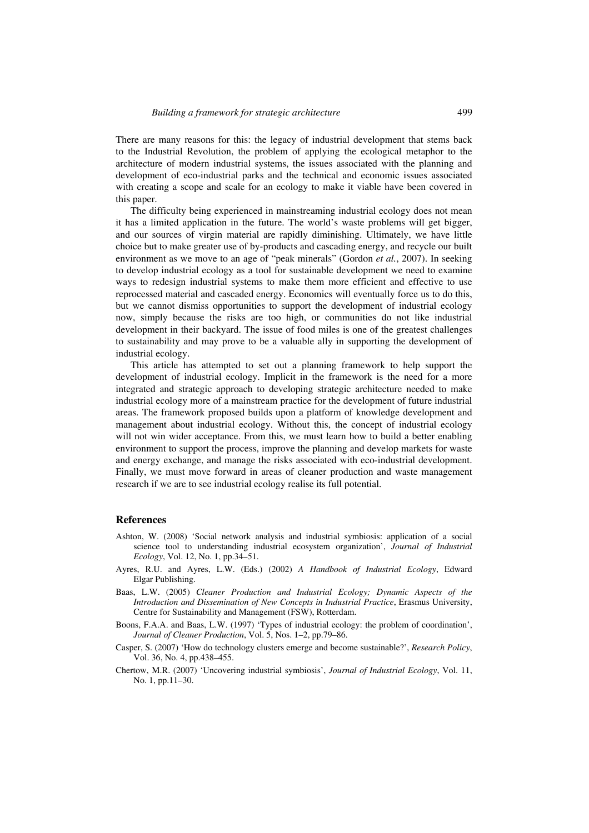There are many reasons for this: the legacy of industrial development that stems back to the Industrial Revolution, the problem of applying the ecological metaphor to the architecture of modern industrial systems, the issues associated with the planning and development of eco-industrial parks and the technical and economic issues associated with creating a scope and scale for an ecology to make it viable have been covered in this paper.

The difficulty being experienced in mainstreaming industrial ecology does not mean it has a limited application in the future. The world's waste problems will get bigger, and our sources of virgin material are rapidly diminishing. Ultimately, we have little choice but to make greater use of by-products and cascading energy, and recycle our built environment as we move to an age of "peak minerals" (Gordon *et al.*, 2007). In seeking to develop industrial ecology as a tool for sustainable development we need to examine ways to redesign industrial systems to make them more efficient and effective to use reprocessed material and cascaded energy. Economics will eventually force us to do this, but we cannot dismiss opportunities to support the development of industrial ecology now, simply because the risks are too high, or communities do not like industrial development in their backyard. The issue of food miles is one of the greatest challenges to sustainability and may prove to be a valuable ally in supporting the development of industrial ecology.

This article has attempted to set out a planning framework to help support the development of industrial ecology. Implicit in the framework is the need for a more integrated and strategic approach to developing strategic architecture needed to make industrial ecology more of a mainstream practice for the development of future industrial areas. The framework proposed builds upon a platform of knowledge development and management about industrial ecology. Without this, the concept of industrial ecology will not win wider acceptance. From this, we must learn how to build a better enabling environment to support the process, improve the planning and develop markets for waste and energy exchange, and manage the risks associated with eco-industrial development. Finally, we must move forward in areas of cleaner production and waste management research if we are to see industrial ecology realise its full potential.

### **References**

- Ashton, W. (2008) 'Social network analysis and industrial symbiosis: application of a social science tool to understanding industrial ecosystem organization', *Journal of Industrial Ecology*, Vol. 12, No. 1, pp.34–51.
- Ayres, R.U. and Ayres, L.W. (Eds.) (2002) *A Handbook of Industrial Ecology*, Edward Elgar Publishing.
- Baas, L.W. (2005) *Cleaner Production and Industrial Ecology; Dynamic Aspects of the Introduction and Dissemination of New Concepts in Industrial Practice*, Erasmus University, Centre for Sustainability and Management (FSW), Rotterdam.
- Boons, F.A.A. and Baas, L.W. (1997) 'Types of industrial ecology: the problem of coordination', *Journal of Cleaner Production*, Vol. 5, Nos. 1–2, pp.79–86.
- Casper, S. (2007) 'How do technology clusters emerge and become sustainable?', *Research Policy*, Vol. 36, No. 4, pp.438–455.
- Chertow, M.R. (2007) 'Uncovering industrial symbiosis', *Journal of Industrial Ecology*, Vol. 11, No. 1, pp.11–30.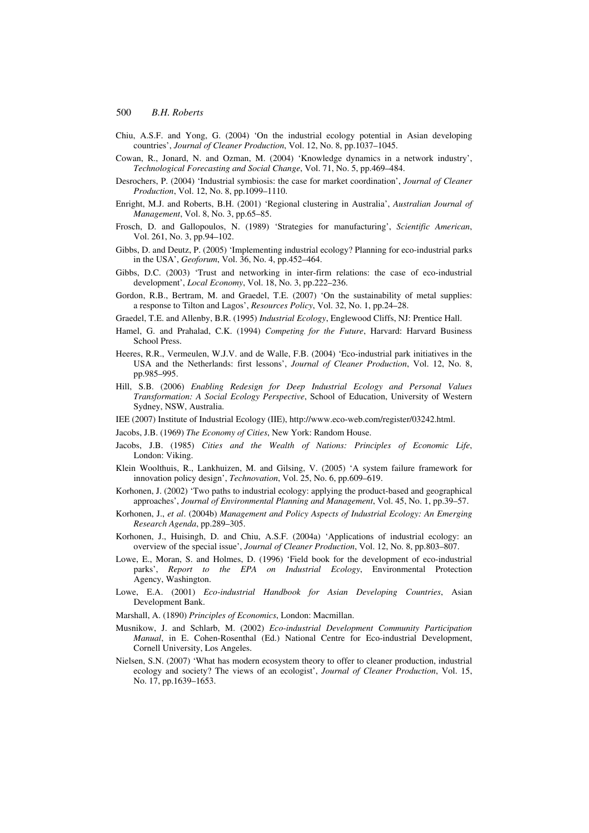- Chiu, A.S.F. and Yong, G. (2004) 'On the industrial ecology potential in Asian developing countries', *Journal of Cleaner Production*, Vol. 12, No. 8, pp.1037–1045.
- Cowan, R., Jonard, N. and Ozman, M. (2004) 'Knowledge dynamics in a network industry', *Technological Forecasting and Social Change*, Vol. 71, No. 5, pp.469–484.
- Desrochers, P. (2004) 'Industrial symbiosis: the case for market coordination', *Journal of Cleaner Production*, Vol. 12, No. 8, pp.1099–1110.
- Enright, M.J. and Roberts, B.H. (2001) 'Regional clustering in Australia', *Australian Journal of Management*, Vol. 8, No. 3, pp.65–85.
- Frosch, D. and Gallopoulos, N. (1989) 'Strategies for manufacturing', *Scientific American*, Vol. 261, No. 3, pp.94–102.
- Gibbs, D. and Deutz, P. (2005) 'Implementing industrial ecology? Planning for eco-industrial parks in the USA', *Geoforum*, Vol. 36, No. 4, pp.452–464.
- Gibbs, D.C. (2003) 'Trust and networking in inter-firm relations: the case of eco-industrial development', *Local Economy*, Vol. 18, No. 3, pp.222–236.
- Gordon, R.B., Bertram, M. and Graedel, T.E. (2007) 'On the sustainability of metal supplies: a response to Tilton and Lagos', *Resources Policy*, Vol. 32, No. 1, pp.24–28.
- Graedel, T.E. and Allenby, B.R. (1995) *Industrial Ecology*, Englewood Cliffs, NJ: Prentice Hall.
- Hamel, G. and Prahalad, C.K. (1994) *Competing for the Future*, Harvard: Harvard Business School Press.
- Heeres, R.R., Vermeulen, W.J.V. and de Walle, F.B. (2004) 'Eco-industrial park initiatives in the USA and the Netherlands: first lessons', *Journal of Cleaner Production*, Vol. 12, No. 8, pp.985–995.
- Hill, S.B. (2006) *Enabling Redesign for Deep Industrial Ecology and Personal Values Transformation: A Social Ecology Perspective*, School of Education, University of Western Sydney, NSW, Australia.
- IEE (2007) Institute of Industrial Ecology (IIE), http://www.eco-web.com/register/03242.html.

Jacobs, J.B. (1969) *The Economy of Cities*, New York: Random House.

- Jacobs, J.B. (1985) *Cities and the Wealth of Nations: Principles of Economic Life*, London: Viking.
- Klein Woolthuis, R., Lankhuizen, M. and Gilsing, V. (2005) 'A system failure framework for innovation policy design', *Technovation*, Vol. 25, No. 6, pp.609–619.
- Korhonen, J. (2002) 'Two paths to industrial ecology: applying the product-based and geographical approaches', *Journal of Environmental Planning and Management*, Vol. 45, No. 1, pp.39–57.
- Korhonen, J., *et al*. (2004b) *Management and Policy Aspects of Industrial Ecology: An Emerging Research Agenda*, pp.289–305.
- Korhonen, J., Huisingh, D. and Chiu, A.S.F. (2004a) 'Applications of industrial ecology: an overview of the special issue', *Journal of Cleaner Production*, Vol. 12, No. 8, pp.803–807.
- Lowe, E., Moran, S. and Holmes, D. (1996) 'Field book for the development of eco-industrial parks', *Report to the EPA on Industrial Ecology*, Environmental Protection Agency, Washington.
- Lowe, E.A. (2001) *Eco-industrial Handbook for Asian Developing Countries*, Asian Development Bank.
- Marshall, A. (1890) *Principles of Economics*, London: Macmillan.
- Musnikow, J. and Schlarb, M. (2002) *Eco-industrial Development Community Participation Manual*, in E. Cohen-Rosenthal (Ed.) National Centre for Eco-industrial Development, Cornell University, Los Angeles.
- Nielsen, S.N. (2007) 'What has modern ecosystem theory to offer to cleaner production, industrial ecology and society? The views of an ecologist', *Journal of Cleaner Production*, Vol. 15, No. 17, pp.1639–1653.